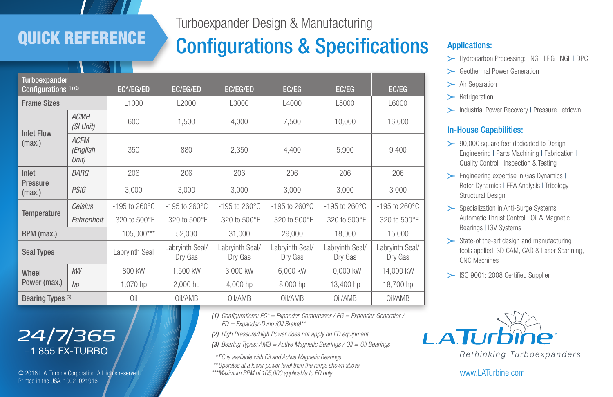# QUICK REFERENCE

Turboexpander Design & Manufacturing

# Configurations & Specifications Applications:

| <b>Turboexpander</b><br>Configurations <sup>(1)(2)</sup> |                                  | EC*/EG/ED                  | EC/EG/ED                   | <b>EC/EG/ED</b>            | EC/EG                      | EC/EG                      | EC/EG                      |
|----------------------------------------------------------|----------------------------------|----------------------------|----------------------------|----------------------------|----------------------------|----------------------------|----------------------------|
| <b>Frame Sizes</b>                                       |                                  | L <sub>1000</sub>          | L2000                      | L3000                      | L4000                      | L5000                      | L6000                      |
| <b>Inlet Flow</b><br>(max.)                              | <b>ACMH</b><br>(SI Unit)         | 600                        | 1.500                      | 4.000                      | 7,500                      | 10,000                     | 16,000                     |
|                                                          | <b>ACFM</b><br>(English<br>Unit) | 350                        | 880                        | 2,350                      | 4,400                      | 5,900                      | 9,400                      |
| Inlet<br><b>Pressure</b><br>(max.)                       | <b>BARG</b>                      | 206                        | 206                        | 206                        | 206                        | 206                        | 206                        |
|                                                          | <b>PSIG</b>                      | 3,000                      | 3,000                      | 3.000                      | 3,000                      | 3.000                      | 3,000                      |
| <b>Temperature</b>                                       | Celsius                          | $-195$ to 260 $^{\circ}$ C | $-195$ to 260 $^{\circ}$ C | $-195$ to 260 $^{\circ}$ C | $-195$ to 260 $^{\circ}$ C | $-195$ to 260 $^{\circ}$ C | $-195$ to 260 $^{\circ}$ C |
|                                                          | Fahrenheit                       | $-320$ to $500^{\circ}$ F  | -320 to 500°F              | $-320$ to $500^{\circ}$ F  | $-320$ to $500^{\circ}$ F  | $-320$ to $500^{\circ}$ F  | $-320$ to $500^{\circ}$ F  |
| RPM (max.)                                               |                                  | 105.000***                 | 52.000                     | 31.000                     | 29,000                     | 18,000                     | 15,000                     |
| <b>Seal Types</b>                                        |                                  | Labryinth Seal             | Labryinth Seal/<br>Dry Gas | Labryinth Seal/<br>Dry Gas | Labrvinth Seal/<br>Dry Gas | Labryinth Seal/<br>Dry Gas | Labrvinth Seal/<br>Dry Gas |
| Wheel<br>Power (max.)                                    | kW                               | 800 kW                     | 1,500 kW                   | 3,000 kW                   | 6.000 kW                   | 10,000 kW                  | 14,000 kW                  |
|                                                          | hp                               | 1,070 hp                   | $2,000$ hp                 | 4,000 hp                   | 8,000 hp                   | 13,400 hp                  | 18,700 hp                  |
| Bearing Types <sup>(3)</sup>                             |                                  | Oil                        | Oil/AMB                    | Oil/AMB                    | Oil/AMB                    | Oil/AMB                    | Oil/AMB                    |

- y Hydrocarbon Processing: LNG | LPG | NGL | DPC
- y Geothermal Power Generation
- $\blacktriangleright$  Air Separation
- $\succ$  Refrigeration
- > Industrial Power Recovery | Pressure Letdown

#### In-House Capabilities:

- $\geq$  90,000 square feet dedicated to Design I Engineering | Parts Machining | Fabrication | Quality Control | Inspection & Testing
- $\blacktriangleright$  Engineering expertise in Gas Dynamics I Rotor Dynamics | FEA Analysis | Tribology | Structural Design
- > Specialization in Anti-Surge Systems I Automatic Thrust Control | Oil & Magnetic Bearings | IGV Systems
- $\geq$  State-of the-art design and manufacturing tools applied: 3D CAM, CAD & Laser Scanning, CNC Machines

> ISO 9001: 2008 Certified Supplier



www.LATurbine.com

# *24/7/365*  +1 855 FX-TURBO

© 2016 L.A. Turbine Corporation. All rights reserved. Printed in the USA. 1002\_021916

*(1) Configurations: EC\* = Expander-Compressor / EG = Expander-Generator / ED = Expander-Dyno (Oil Brake)\*\**

*(2) High Pressure/High Power does not apply on ED equipment*

*(3) Bearing Types: AMB = Active Magnetic Bearings / Oil = Oil Bearings*

*\* EC is available with Oil and Active Magnetic Bearings*

*\*\*Operates at a lower power level than the range shown above*

*\*\*\*Maximum RPM of 105,000 applicable to ED only*